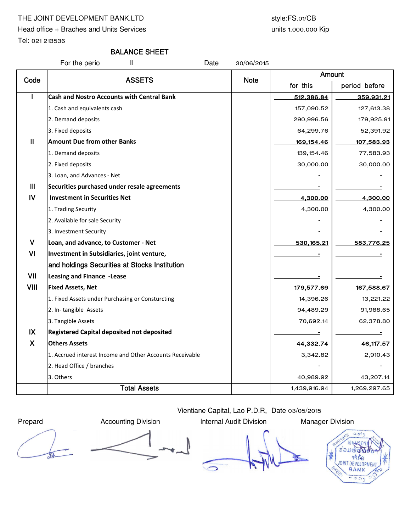## THE JOINT DEVELOPMENT BANK.LTD style:FS.01/CB

Head office + Braches and Units Services

Tel: 021 213536

## BALANCE SHEET

For the perio TI and Table 11 and Date 30/06/2015

| Code          | <b>ASSETS</b>                                            | <b>Note</b> | Amount       |               |
|---------------|----------------------------------------------------------|-------------|--------------|---------------|
|               |                                                          |             | for this     | period before |
|               | <b>Cash and Nostro Accounts with Central Bank</b>        |             | 512,386.84   | 359,931.21    |
|               | 1. Cash and equivalents cash                             |             | 157,090.52   | 127,613.38    |
|               | 2. Demand deposits                                       |             | 290,996.56   | 179,925.91    |
|               | 3. Fixed deposits                                        |             | 64,299.76    | 52,391.92     |
| $\mathbf{II}$ | <b>Amount Due from other Banks</b>                       |             | 169, 154.46  | 107,583.93    |
|               | 1. Demand deposits                                       |             | 139, 154.46  | 77,583.93     |
|               | 2. Fixed deposits                                        |             | 30,000.00    | 30,000.00     |
|               | 3. Loan, and Advances - Net                              |             |              |               |
| III           | Securities purchased under resale agreements             |             |              |               |
| IV            | <b>Investment in Securities Net</b>                      |             | 4,300.00     | 4,300.00      |
|               | 1. Trading Security                                      |             | 4,300.00     | 4,300.00      |
|               | 2. Available for sale Security                           |             |              |               |
|               | 3. Investment Security                                   |             |              |               |
| $\mathsf{V}$  | Loan, and advance, to Customer - Net                     |             | 530,165.21   | 583,776.25    |
| VI            | Investment in Subsidiaries, joint venture,               |             |              |               |
|               | and holdings Securities at Stocks Institution            |             |              |               |
| VII           | <b>Leasing and Finance -Lease</b>                        |             |              |               |
| <b>VIII</b>   | <b>Fixed Assets, Net</b>                                 |             | 179,577.69   | 167,588.67    |
|               | 1. Fixed Assets under Purchasing or Consturcting         |             | 14,396.26    | 13,221.22     |
|               | 2. In-tangible Assets                                    |             | 94,489.29    | 91,988.65     |
|               | 3. Tangible Assets                                       |             | 70,692.14    | 62,378.80     |
| IX            | <b>Registered Capital deposited not deposited</b>        |             |              | Ξ             |
| X             | <b>Others Assets</b>                                     |             | 44,332.74    | 46, 117.57    |
|               | 1. Accrued interest Income and Other Accounts Receivable |             | 3,342.82     | 2,910.43      |
|               | 2. Head Office / branches                                |             |              |               |
|               | 3. Others                                                |             | 40,989.92    | 43,207.14     |
|               | <b>Total Assets</b>                                      |             | 1,439,916.94 | 1,269,297.65  |

Prepard **Accounting Division** Internal Audit Division Manager Division

Vientiane Capital, Lao P.D.R, Date 03/05/2015



units 1.000.000 Kip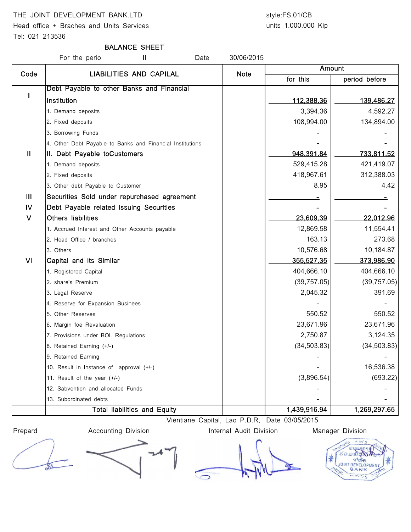## THE JOINT DEVELOPMENT BANK.LTD style:FS.01/CB

Head office + Braches and Units Services

Tel: 021 213536

# units 1.000.000 Kip

## BALANCE SHEET

For the perio The II Date 20/06/2015 for this | period before I Debt Payable to other Banks and Financial Institution 112,388.36 139,486.27 1. Demand deposits 4,592.27 2. Fixed deposits 108,994.00 134,894.00 3. Borrowing Funds 4. Other Debt Payable to Banks and Financial Institutions II II. Debt Payable toCustomers 948,391.84 733,811.52 1. Demand deposits 529,415.28 421,419.07 2. Fixed deposits 418,967.61 312,388.03 3. Other debt Payable to Customer and the set of the set of the set of the set of the set of the set of the set of the set of the set of the set of the set of the set of the set of the set of the set of the set of the set III Securities Sold under repurchased agreement - - IV Debt Payable related issuing Securities - - V Others liabilities 23,609.39 22,012.96 1. Accrued Interest and Other Accounts payable 1200 1200 1200 12,869.58 12,869.58 11,554.41 2. Head Office / branches 163.13 273.68 3. Others 10,576.68 10,184.87 Amount Code | LIABILITIES AND CAPILAL | Note VI Capital and its Similar 355,527.35 373,986.90 1. Registered Capital 1. **Alternative Capital 1. Alternative Capital 1. Alternative Capital 404,666.10** 404,666.10 2. share's Premium (39,757.05) (39,757.05) 3. Legal Reserve 2,045.32 391.69 4. Reserve for Expansion Businees 5. Other Reserves 550.52 550.52 6. Margin foe Revaluation 23,671.96 23,671.96 7. Provisions under BOL Regulations and the control of the control of the control of the control of the control of the control of the control of the control of the control of the control of the control of the control of th 8. Retained Earning (+/-) (34,503.83) 9. Retained Earning 10. Result in Instance of approval  $(+/-)$   $\qquad \qquad$   $\qquad \qquad$   $\qquad \qquad$   $\qquad \qquad$  16,536.38 11. Result of the year (+/-) (3,896.54) (693.22) 12. Sabvention and allocated Funds 13. Subordinated debts Total liabilities and Equity 1,439,916.94 1,269,297.65

Vientiane Capital, Lao P.D.R, Date 03/05/2015

Prepard **Accounting Division Internal Audit Division** Manager Division

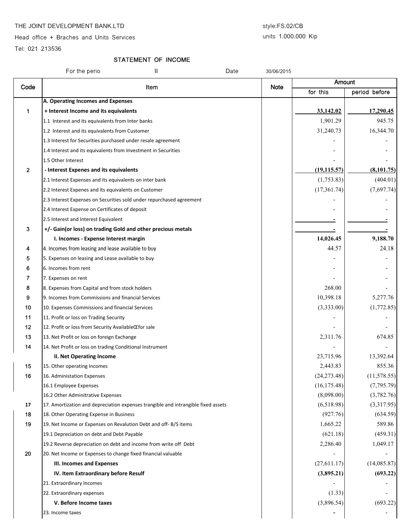#### THE JOINT DEVELOPMENT BANK.LTD style:FS.02/CB

Head office + Braches and Units Services

### units 1.000.000 Kip

Tel: 021 213536

## STATEMENT OF INCOME

|              | For the perio<br>Ш<br>Date                                                        | 30/06/2015  |              |               |
|--------------|-----------------------------------------------------------------------------------|-------------|--------------|---------------|
| Code         | Item                                                                              | <b>Note</b> | Amount       |               |
|              |                                                                                   |             | for this     | period before |
|              | A. Operating Incomes and Expenses                                                 |             |              |               |
| 1            | + Interest Income and its equivalents                                             |             | 33,142.02    | 17,290.45     |
|              | 1.1 Interest and its equivalents from Inter banks                                 |             | 1,901.29     | 945.75        |
|              | 1.2 Interest and its equivalents from Customer                                    |             | 31,240.73    | 16,344.70     |
|              | 1.3 Interest for Securities purchased under resale agreement                      |             |              |               |
|              | 1.4 Interest and its equivalents from Investment in Securities                    |             |              |               |
|              | 1.5 Other Interest                                                                |             |              |               |
| $\mathbf{2}$ | - Interest Expenes and its equivalents                                            |             | (19, 115.57) | (8, 101.75)   |
|              | 2.1 Interest Expenses and its equivalents on inter bank                           |             | (1,753.83)   | (404.01)      |
|              | 2.2 Interest Expenes and its equivalents on Customer                              |             | (17,361.74)  | (7,697.74)    |
|              | 2.3 Interest Expenses on Securities sold under repurchased agreement              |             |              |               |
|              | 2.4 Interest Expense on Certificates of deposit                                   |             |              |               |
|              | 2.5 Interest and Interest Equivalent                                              |             |              |               |
| 3            | +/- Gain(or loss) on trading Gold and other precious metals                       |             |              |               |
|              | I. Incomes - Expense Interest margin                                              |             | 14,026.45    | 9,188.70      |
| 4            | 4. Incomes from leasing and lease available to buy                                |             | 44.57        | 24.18         |
| 5            | 5. Expenses on leasing and Lease available to buy                                 |             |              |               |
| 6            | 6. Incomes from rent                                                              |             |              |               |
| 7            | 7. Expenses on rent                                                               |             |              |               |
| 8            | 8. Expenses from Capital and from stock holders                                   |             | 268.00       |               |
| 9            | 9. Incomes from Commissions and financial Services                                |             | 10,398.18    | 5,277.76      |
| 10           | 10. Expenses Commissions and financial Services                                   |             | (3,333.00)   | (1,772.85)    |
| 11           | 11. Profit or loss on Trading Security                                            |             |              |               |
| 12           | 12. Profit or loss from Security AvailableŒfor sale                               |             |              |               |
| 13           | 13. Net Profit or loss on foreign Exchange                                        |             | 2,311.76     | 674.85        |
| 14           | 14. Net Profit or loss on trading Conditional Instrument                          |             |              |               |
|              | <b>II. Net Operating Income</b>                                                   |             | 23,715.96    | 13,392.64     |
| 15           | 15. Other operating Incomes                                                       |             | 2,443.83     | 855.36        |
| 16           | 16. Administation Expenses                                                        |             | (24, 273.48) | (11, 578.55)  |
|              | 16.1 Employee Expenses                                                            |             | (16, 175.48) | (7,795.79)    |
|              | 16.2 Other Adminitrative Expenses                                                 |             | (8,098.00)   | (3,782.76)    |
| 17           | 17. Amortization and depreciation expenses trangible and intrangible fixed assets |             | (6,518.98)   | (3,317.95)    |
| 18           | 18. Other Operating Expense in Business                                           |             | (927.76)     | (634.59)      |
| 19           | 19. Net Income or Expenses on Revalution Debt and off-B/S items                   |             | 1,665.22     | 589.86        |
|              | 19.1 Depreciation on debt and Debt Payable                                        |             | (621.18)     | (459.31)      |
|              |                                                                                   |             | 2,286.40     | 1,049.17      |
| 20           | 19.2 Reverse depreciation on debt and income from write off Debt                  |             |              |               |
|              | 20. Net Income or Expenses to change fixed financial valuable                     |             |              |               |
|              | III. Incomes and Expenses                                                         |             | (27,611.17)  | (14,085.87)   |
|              | IV. Item Extraordinary before Resulf                                              |             | (3,895.21)   | (693.22)      |
|              | 21. Extraordinary Incomes                                                         |             |              |               |
|              | 22. Extraordinary expenses                                                        |             | (1.33)       |               |
|              | V. Before Income taxes                                                            |             | (3,896.54)   | (693.22)      |
|              | 23. Income taxes                                                                  |             |              |               |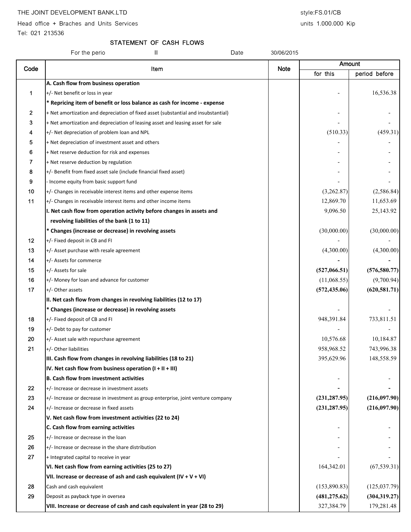Head office + Braches and Units Services and Units 1.000.000 Kip

Tel: 021 213536

## STATEMENT OF CASH FLOWS

|      | Ш<br>For the perio<br>Date                                                         | 30/06/2015  |               |               |
|------|------------------------------------------------------------------------------------|-------------|---------------|---------------|
| Code |                                                                                    |             | Amount        |               |
|      | Item                                                                               | <b>Note</b> | for this      | period before |
|      | A. Cash flow from business operation                                               |             |               |               |
| 1    | +/- Net benefit or loss in year                                                    |             |               | 16,536.38     |
|      | * Repricing item of benefit or loss balance as cash for income - expense           |             |               |               |
| 2    | + Net amortization and depreciation of fixed asset (substantial and insubstantial) |             |               |               |
| 3    | + Net amortization and depreciation of leasing asset and leasing asset for sale    |             |               |               |
| 4    | +/- Net depreciation of problem loan and NPL                                       |             | (510.33)      | (459.31)      |
| 5    | + Net depreciation of investment asset and others                                  |             |               |               |
| 6    | + Net reserve deduction for risk and expenses                                      |             |               |               |
| 7    | + Net reserve deduction by regulation                                              |             |               |               |
| 8    | +/- Benefit from fixed asset sale (include financial fixed asset)                  |             |               |               |
| 9    | Income equity from basic support fund                                              |             |               |               |
| 10   | +/- Changes in receivable interest items and other expense items                   |             | (3,262.87)    | (2,586.84)    |
| 11   | +/- Changes in receivable interest items and other income items                    |             | 12,869.70     | 11,653.69     |
|      | I. Net cash flow from operation activity before changes in assets and              |             | 9,096.50      | 25,143.92     |
|      | revolving liabilities of the bank (1 to 11)                                        |             |               |               |
|      | * Changes (increase or decrease) in revolving assets                               |             | (30,000.00)   | (30,000.00)   |
| 12   | +/- Fixed deposit in CB and FI                                                     |             |               |               |
| 13   | +/- Asset purchase with resale agreement                                           |             | (4,300.00)    | (4,300.00)    |
| 14   | +/- Assets for commerce                                                            |             |               |               |
| 15   | +/- Assets for sale                                                                |             | (527,066.51)  | (576, 580.77) |
| 16   | +/- Money for loan and advance for customer                                        |             | (11,068.55)   | (9,700.94)    |
| 17   | +/- Other assets                                                                   |             | (572, 435.06) | (620, 581.71) |
|      | II. Net cash flow from changes in revolving liabilities (12 to 17)                 |             |               |               |
|      | * Changes (increase or decrease) in revolving assets                               |             |               |               |
| 18   | +/- Fixed deposit of CB and FI                                                     |             | 948,391.84    | 733,811.51    |
| 19   | +/- Debt to pay for customer                                                       |             |               |               |
| 20   | +/- Asset sale with repurchase agreement                                           |             | 10,576.68     | 10,184.87     |
| 21   | +/- Other liabilities                                                              |             | 958,968.52    | 743,996.38    |
|      | III. Cash flow from changes in revolving liabilities (18 to 21)                    |             | 395,629.96    | 148,558.59    |
|      | IV. Net cash flow from business operation $(I + II + III)$                         |             |               |               |
|      | <b>B. Cash flow from investment activities</b>                                     |             |               |               |
| 22   | +/- Increase or decrease in investment assets                                      |             |               |               |
| 23   | +/- Increase or decrease in investment as group enterprise, joint venture company  |             | (231, 287.95) | (216,097.90)  |
| 24   | +/- Increase or decrease in fixed assets                                           |             | (231, 287.95) | (216,097.90)  |
|      | V. Net cash flow from investment activities (22 to 24)                             |             |               |               |
|      | C. Cash flow from earning activities                                               |             |               |               |
| 25   | +/- Increase or decrease in the loan                                               |             |               |               |
| 26   | +/- Increase or decrease in the share distribution                                 |             |               |               |
| 27   | + Integrated capital to receive in year                                            |             |               |               |
|      | VI. Net cash flow from earning activities (25 to 27)                               |             | 164,342.01    | (67, 539.31)  |
|      | VII. Increase or decrease of ash and cash equivalent $(IV + V + VI)$               |             |               |               |
| 28   | Cash and cash equivalent                                                           |             | (153,890.83)  | (125, 037.79) |
| 29   | Deposit as payback type in oversea                                                 |             | (481, 275.62) | (304, 319.27) |
|      | VIII. Increase or decrease of cash and cash equivalent in year (28 to 29)          |             | 327,384.79    | 179,281.48    |